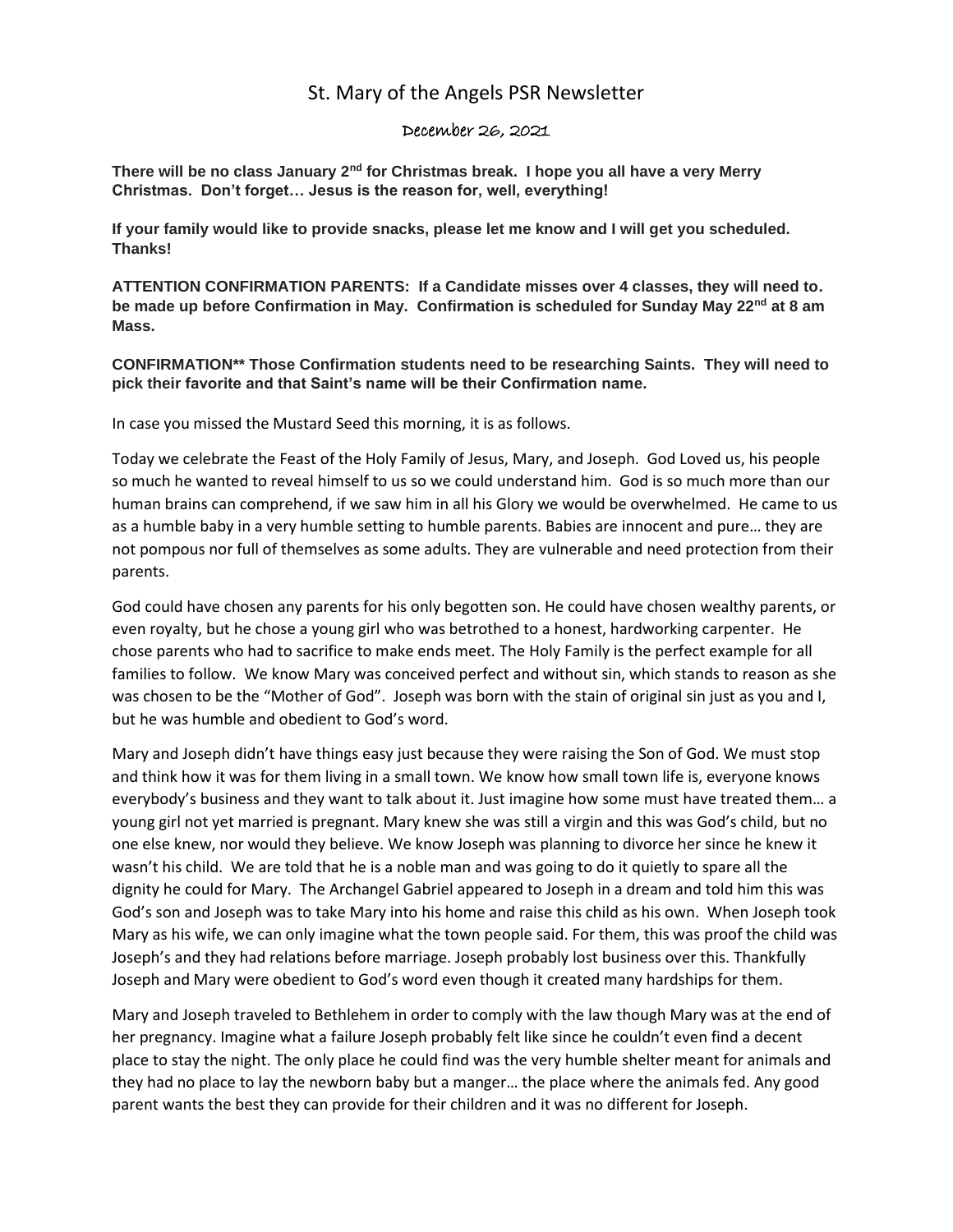## St. Mary of the Angels PSR Newsletter

## December 26, 2021

**There will be no class January 2nd for Christmas break. I hope you all have a very Merry Christmas. Don't forget… Jesus is the reason for, well, everything!**

**If your family would like to provide snacks, please let me know and I will get you scheduled. Thanks!**

**ATTENTION CONFIRMATION PARENTS: If a Candidate misses over 4 classes, they will need to. be made up before Confirmation in May. Confirmation is scheduled for Sunday May 22nd at 8 am Mass.** 

**CONFIRMATION\*\* Those Confirmation students need to be researching Saints. They will need to pick their favorite and that Saint's name will be their Confirmation name.**

In case you missed the Mustard Seed this morning, it is as follows.

Today we celebrate the Feast of the Holy Family of Jesus, Mary, and Joseph. God Loved us, his people so much he wanted to reveal himself to us so we could understand him. God is so much more than our human brains can comprehend, if we saw him in all his Glory we would be overwhelmed. He came to us as a humble baby in a very humble setting to humble parents. Babies are innocent and pure… they are not pompous nor full of themselves as some adults. They are vulnerable and need protection from their parents.

God could have chosen any parents for his only begotten son. He could have chosen wealthy parents, or even royalty, but he chose a young girl who was betrothed to a honest, hardworking carpenter. He chose parents who had to sacrifice to make ends meet. The Holy Family is the perfect example for all families to follow. We know Mary was conceived perfect and without sin, which stands to reason as she was chosen to be the "Mother of God". Joseph was born with the stain of original sin just as you and I, but he was humble and obedient to God's word.

Mary and Joseph didn't have things easy just because they were raising the Son of God. We must stop and think how it was for them living in a small town. We know how small town life is, everyone knows everybody's business and they want to talk about it. Just imagine how some must have treated them… a young girl not yet married is pregnant. Mary knew she was still a virgin and this was God's child, but no one else knew, nor would they believe. We know Joseph was planning to divorce her since he knew it wasn't his child. We are told that he is a noble man and was going to do it quietly to spare all the dignity he could for Mary. The Archangel Gabriel appeared to Joseph in a dream and told him this was God's son and Joseph was to take Mary into his home and raise this child as his own. When Joseph took Mary as his wife, we can only imagine what the town people said. For them, this was proof the child was Joseph's and they had relations before marriage. Joseph probably lost business over this. Thankfully Joseph and Mary were obedient to God's word even though it created many hardships for them.

Mary and Joseph traveled to Bethlehem in order to comply with the law though Mary was at the end of her pregnancy. Imagine what a failure Joseph probably felt like since he couldn't even find a decent place to stay the night. The only place he could find was the very humble shelter meant for animals and they had no place to lay the newborn baby but a manger… the place where the animals fed. Any good parent wants the best they can provide for their children and it was no different for Joseph.